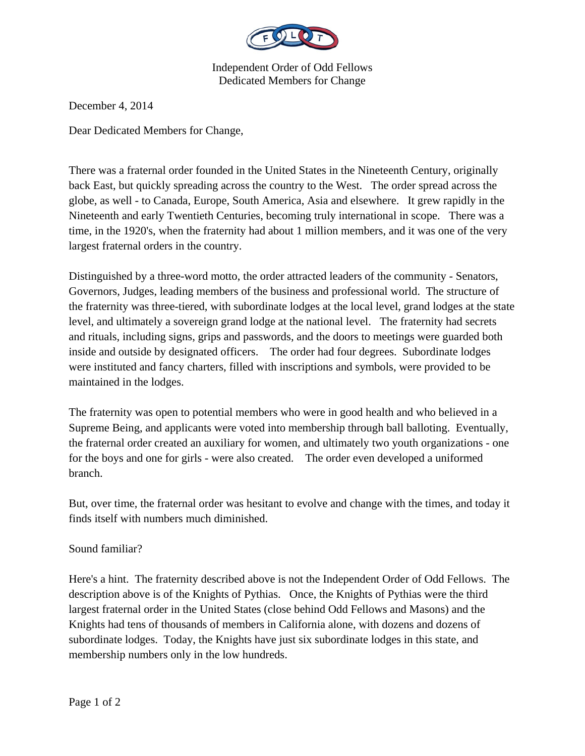

Independent Order of Odd Fellows Dedicated Members for Change

December 4, 2014

Dear Dedicated Members for Change,

There was a fraternal order founded in the United States in the Nineteenth Century, originally back East, but quickly spreading across the country to the West. The order spread across the globe, as well - to Canada, Europe, South America, Asia and elsewhere. It grew rapidly in the Nineteenth and early Twentieth Centuries, becoming truly international in scope. There was a time, in the 1920's, when the fraternity had about 1 million members, and it was one of the very largest fraternal orders in the country.

Distinguished by a three-word motto, the order attracted leaders of the community - Senators, Governors, Judges, leading members of the business and professional world. The structure of the fraternity was three-tiered, with subordinate lodges at the local level, grand lodges at the state level, and ultimately a sovereign grand lodge at the national level. The fraternity had secrets and rituals, including signs, grips and passwords, and the doors to meetings were guarded both inside and outside by designated officers. The order had four degrees. Subordinate lodges were instituted and fancy charters, filled with inscriptions and symbols, were provided to be maintained in the lodges.

The fraternity was open to potential members who were in good health and who believed in a Supreme Being, and applicants were voted into membership through ball balloting. Eventually, the fraternal order created an auxiliary for women, and ultimately two youth organizations - one for the boys and one for girls - were also created. The order even developed a uniformed branch.

But, over time, the fraternal order was hesitant to evolve and change with the times, and today it finds itself with numbers much diminished.

## Sound familiar?

Here's a hint. The fraternity described above is not the Independent Order of Odd Fellows. The description above is of the Knights of Pythias. Once, the Knights of Pythias were the third largest fraternal order in the United States (close behind Odd Fellows and Masons) and the Knights had tens of thousands of members in California alone, with dozens and dozens of subordinate lodges. Today, the Knights have just six subordinate lodges in this state, and membership numbers only in the low hundreds.